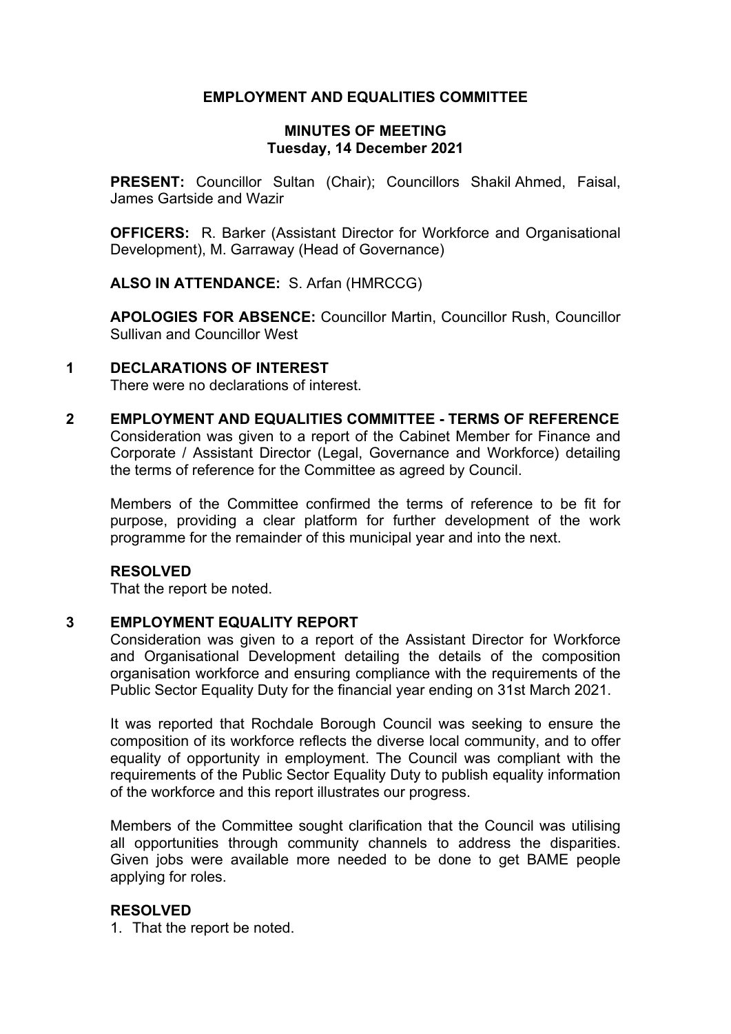# **EMPLOYMENT AND EQUALITIES COMMITTEE**

## **MINUTES OF MEETING Tuesday, 14 December 2021**

**PRESENT:** Councillor Sultan (Chair); Councillors Shakil Ahmed, Faisal, James Gartside and Wazir

**OFFICERS:** R. Barker (Assistant Director for Workforce and Organisational Development), M. Garraway (Head of Governance)

**ALSO IN ATTENDANCE:** S. Arfan (HMRCCG)

**APOLOGIES FOR ABSENCE:** Councillor Martin, Councillor Rush, Councillor Sullivan and Councillor West

## **1 DECLARATIONS OF INTEREST**

There were no declarations of interest.

**2 EMPLOYMENT AND EQUALITIES COMMITTEE - TERMS OF REFERENCE** Consideration was given to a report of the Cabinet Member for Finance and Corporate / Assistant Director (Legal, Governance and Workforce) detailing the terms of reference for the Committee as agreed by Council.

Members of the Committee confirmed the terms of reference to be fit for purpose, providing a clear platform for further development of the work programme for the remainder of this municipal year and into the next.

## **RESOLVED**

That the report be noted.

#### **3 EMPLOYMENT EQUALITY REPORT**

Consideration was given to a report of the Assistant Director for Workforce and Organisational Development detailing the details of the composition organisation workforce and ensuring compliance with the requirements of the Public Sector Equality Duty for the financial year ending on 31st March 2021.

It was reported that Rochdale Borough Council was seeking to ensure the composition of its workforce reflects the diverse local community, and to offer equality of opportunity in employment. The Council was compliant with the requirements of the Public Sector Equality Duty to publish equality information of the workforce and this report illustrates our progress.

Members of the Committee sought clarification that the Council was utilising all opportunities through community channels to address the disparities. Given jobs were available more needed to be done to get BAME people applying for roles.

#### **RESOLVED**

1. That the report be noted.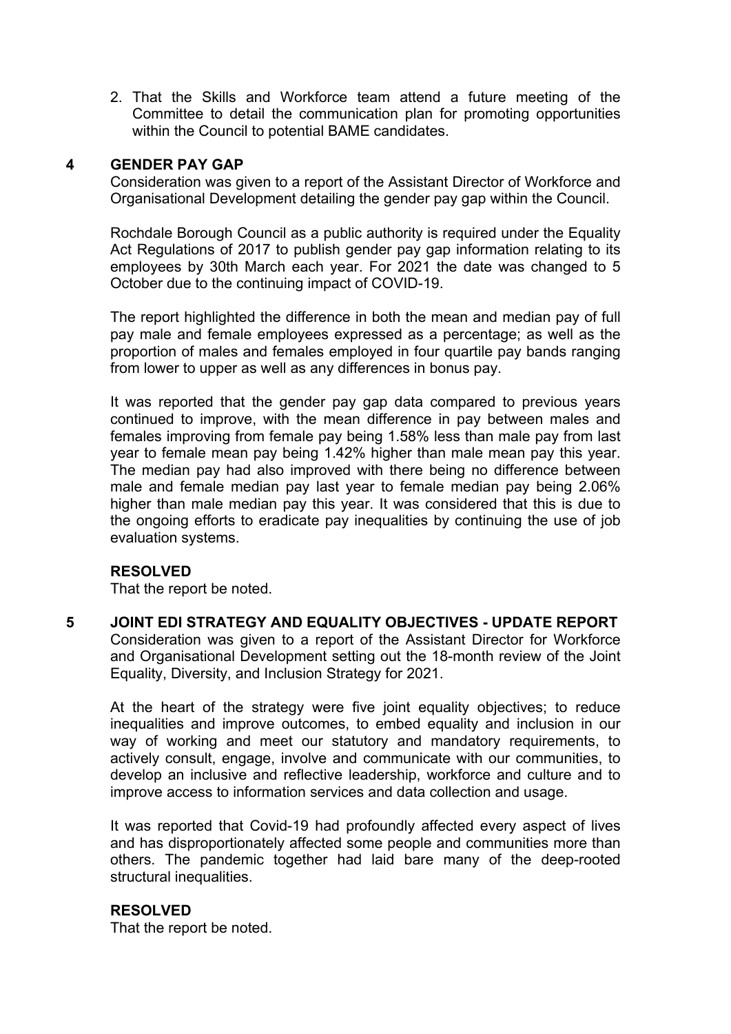2. That the Skills and Workforce team attend a future meeting of the Committee to detail the communication plan for promoting opportunities within the Council to potential BAME candidates.

## **4 GENDER PAY GAP**

Consideration was given to a report of the Assistant Director of Workforce and Organisational Development detailing the gender pay gap within the Council.

Rochdale Borough Council as a public authority is required under the Equality Act Regulations of 2017 to publish gender pay gap information relating to its employees by 30th March each year. For 2021 the date was changed to 5 October due to the continuing impact of COVID-19.

The report highlighted the difference in both the mean and median pay of full pay male and female employees expressed as a percentage; as well as the proportion of males and females employed in four quartile pay bands ranging from lower to upper as well as any differences in bonus pay.

It was reported that the gender pay gap data compared to previous years continued to improve, with the mean difference in pay between males and females improving from female pay being 1.58% less than male pay from last year to female mean pay being 1.42% higher than male mean pay this year. The median pay had also improved with there being no difference between male and female median pay last year to female median pay being 2.06% higher than male median pay this year. It was considered that this is due to the ongoing efforts to eradicate pay inequalities by continuing the use of job evaluation systems.

## **RESOLVED**

That the report be noted.

**5 JOINT EDI STRATEGY AND EQUALITY OBJECTIVES - UPDATE REPORT** Consideration was given to a report of the Assistant Director for Workforce and Organisational Development setting out the 18-month review of the Joint Equality, Diversity, and Inclusion Strategy for 2021.

At the heart of the strategy were five joint equality objectives; to reduce inequalities and improve outcomes, to embed equality and inclusion in our way of working and meet our statutory and mandatory requirements, to actively consult, engage, involve and communicate with our communities, to develop an inclusive and reflective leadership, workforce and culture and to improve access to information services and data collection and usage.

It was reported that Covid-19 had profoundly affected every aspect of lives and has disproportionately affected some people and communities more than others. The pandemic together had laid bare many of the deep-rooted structural inequalities.

#### **RESOLVED**

That the report be noted.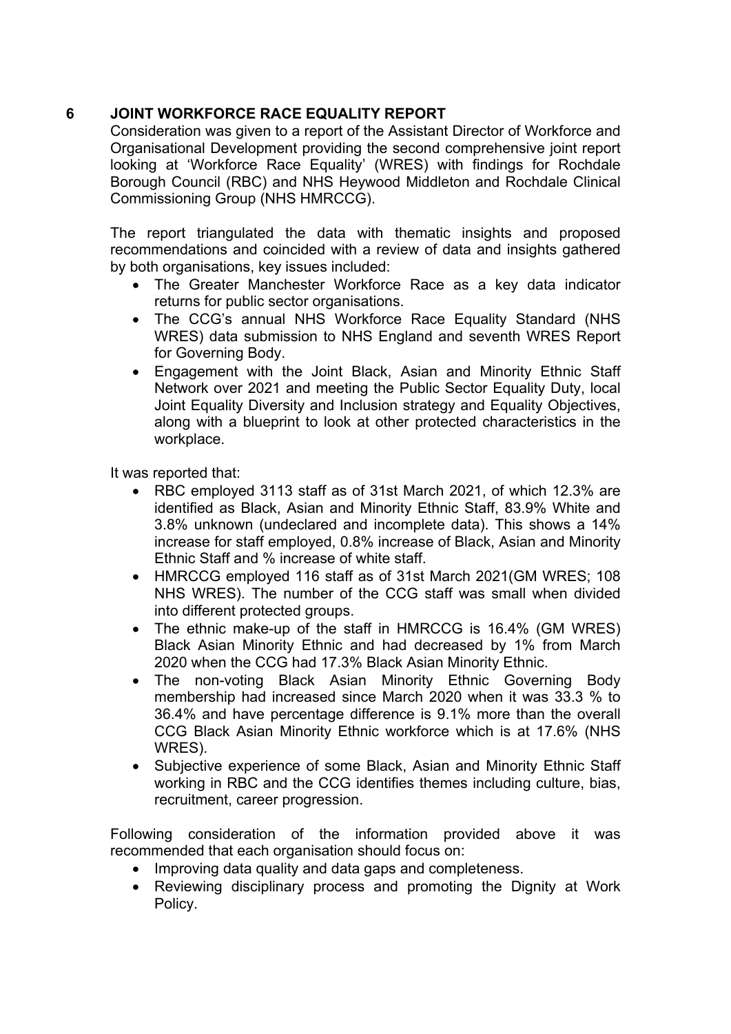# **6 JOINT WORKFORCE RACE EQUALITY REPORT**

Consideration was given to a report of the Assistant Director of Workforce and Organisational Development providing the second comprehensive joint report looking at 'Workforce Race Equality' (WRES) with findings for Rochdale Borough Council (RBC) and NHS Heywood Middleton and Rochdale Clinical Commissioning Group (NHS HMRCCG).

The report triangulated the data with thematic insights and proposed recommendations and coincided with a review of data and insights gathered by both organisations, key issues included:

- The Greater Manchester Workforce Race as a key data indicator returns for public sector organisations.
- The CCG's annual NHS Workforce Race Equality Standard (NHS WRES) data submission to NHS England and seventh WRES Report for Governing Body.
- Engagement with the Joint Black, Asian and Minority Ethnic Staff Network over 2021 and meeting the Public Sector Equality Duty, local Joint Equality Diversity and Inclusion strategy and Equality Objectives, along with a blueprint to look at other protected characteristics in the workplace.

It was reported that:

- RBC employed 3113 staff as of 31st March 2021, of which 12.3% are identified as Black, Asian and Minority Ethnic Staff, 83.9% White and 3.8% unknown (undeclared and incomplete data). This shows a 14% increase for staff employed, 0.8% increase of Black, Asian and Minority Ethnic Staff and % increase of white staff.
- HMRCCG employed 116 staff as of 31st March 2021(GM WRES; 108 NHS WRES). The number of the CCG staff was small when divided into different protected groups.
- The ethnic make-up of the staff in HMRCCG is 16.4% (GM WRES) Black Asian Minority Ethnic and had decreased by 1% from March 2020 when the CCG had 17.3% Black Asian Minority Ethnic.
- The non-voting Black Asian Minority Ethnic Governing Body membership had increased since March 2020 when it was 33.3 % to 36.4% and have percentage difference is 9.1% more than the overall CCG Black Asian Minority Ethnic workforce which is at 17.6% (NHS WRES).
- Subjective experience of some Black, Asian and Minority Ethnic Staff working in RBC and the CCG identifies themes including culture, bias, recruitment, career progression.

Following consideration of the information provided above it was recommended that each organisation should focus on:

- Improving data quality and data gaps and completeness.
- Reviewing disciplinary process and promoting the Dignity at Work Policy.